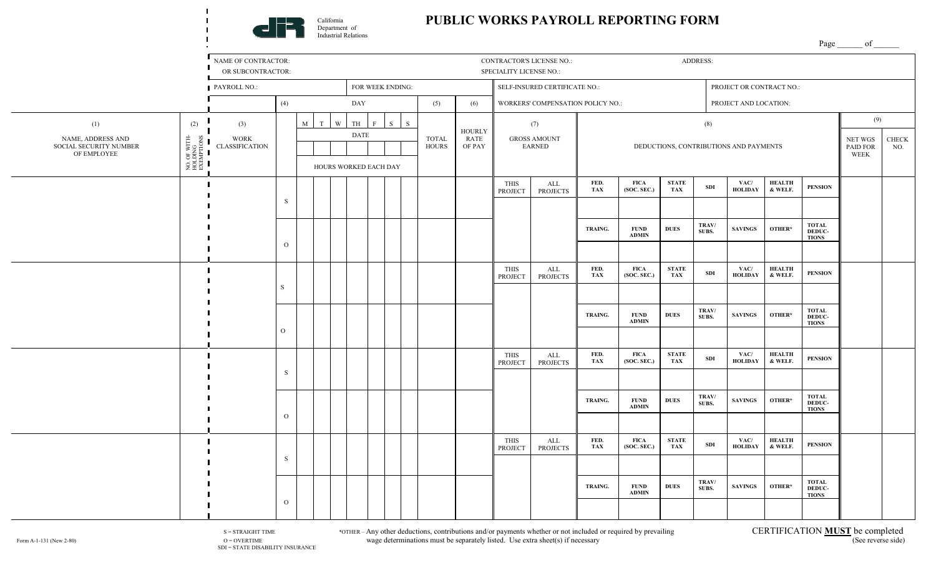

## **PUBLIC WORKS PAYROLL REPORTING FORM**

Page of

NAME OF CONTRACTOR: ADDRESS: ADDRESS: CONTRACTOR'S LICENSE NO.: ADDRESS: ADDRESS: OR SUBCONTRACTOR: SPECIALITY LICENSE NO.: **PAYROLL NO.:** FOR WEEK ENDING: SELF-INSURED CERTIFICATE NO.: PROJECT OR CONTRACT NO.: (4) DAY (5) (6) WORKERS' COMPENSATION POLICY NO.: PROJECT AND LOCATION: (2) M T W TH F S S (9) (1) (3) (7) (8) HOURLY NO. OF WITH-<br>HOLDING<br>EXEMPTIONS DATE NAME, ADDRESS AND NO. OF WITH-EXEMPTIONS TOTAL NET WGS CHECK WORK RATE GROSS AMOUNT SOCIAL SECURITY NUMBER **HOURS** OF PAY EARNED DEDUCTIONS, CONTRIBUTIONS AND PAYMENTS PAID FOR NO. HOLDING CLASSIFICATION OF EMPLOYEE WEEK HOURS WORKED EACH DAY **FED. VAC/ HEALTH** THIS ALL **FICA STATE**   $TAX$  **SDI PENSION TAX(SOC. SEC.) HOLIDAY & WELF.** PROJECT PROJECTS S **TOTAL TRAV/ TRAING. FUND DUES SAVINGS OTHER\* SUBS. DEDUC- ADMIN TIONS** O **HEALTH** THIS **FED. FICA VAC/** ALL **STATE**   $\frac{51A1E}{TAX}$  SDI **PENSION TAX (SOC. SEC.) HOLIDAY & WELF.**PROJECT PROJECTS S **TRAV/ TOTAL TRAING. FUND DUES SAVINGS OTHER\* SUBS. DEDUC- ADMIN TIONS**  O THIS ALL **FED. FICA STATE VAC/ HEALTH**  $\frac{51A1E}{TAX}$  SDI **PENSION**  PROJECT PROJECTS **TAX (SOC. SEC.) HOLIDAY & WELF.**S **TRAV/ TOTAL TRAING. FUND SUBS.** SAVINGS OTHER\* **DUES DEDUC- ADMIN TIONS** O **FED. FICA VAC/ HEALTH** THIS ALL **STATE**   $TAX$  **SDI PENSION**  PROJECTS **TAX (SOC. SEC.) HOLIDAY & WELF.**PROJECT S **TOTAL TRAV/ TRAING. FUND SAVINGS OTHER\* DUES SUBS. DEDUC- ADMIN TIONS** O

 $S = STR A IGHT TIME$ <br>  $O = OVERTINE$   $S = STR A IGHT TIME$ <br>  $O = OVERTINE$   $S = TRTR ICA TION **MUST**$  be completed wage determinations must be separately listed. Use extra sheet(s) if necessary Form A-1-131 (New 2-80) O = OVERTIME O = OVERTIME wage determinations must be separately listed. Use extra sheet(s) if necessary

SDI = STATE DISABILITY INSURANCE